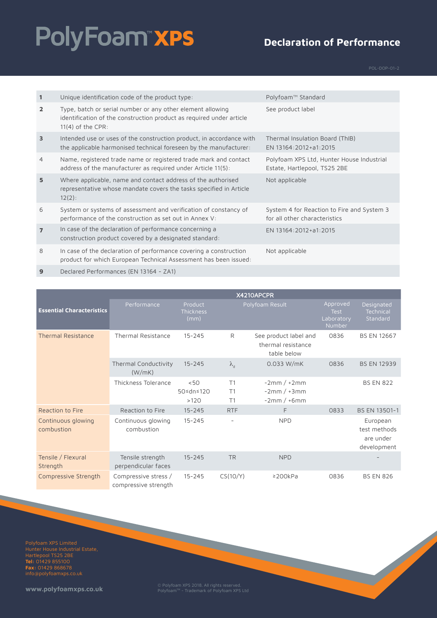# PolyFoam"xPS

### **Declaration of Performance**

| $\mathbf{1}$   | Unique identification code of the product type:                                                                                                           | Polyfoam™ Standard                                                          |
|----------------|-----------------------------------------------------------------------------------------------------------------------------------------------------------|-----------------------------------------------------------------------------|
| $\overline{2}$ | Type, batch or serial number or any other element allowing<br>identification of the construction product as required under article<br>$11(4)$ of the CPR: | See product label                                                           |
| $\overline{3}$ | Intended use or uses of the construction product, in accordance with<br>the applicable harmonised technical foreseen by the manufacturer:                 | Thermal Insulation Board (ThIB)<br>EN 13164:2012+a1:2015                    |
| $\overline{4}$ | Name, registered trade name or registered trade mark and contact<br>address of the manufacturer as required under Article 11(5):                          | Polyfoam XPS Ltd, Hunter House Industrial<br>Estate, Hartlepool, TS25 2BE   |
| 5              | Where applicable, name and contact address of the authorised<br>representative whose mandate covers the tasks specified in Article<br>$12(2)$ :           | Not applicable                                                              |
| 6              | System or systems of assessment and verification of constancy of<br>performance of the construction as set out in Annex V:                                | System 4 for Reaction to Fire and System 3<br>for all other characteristics |
| $\overline{7}$ | In case of the declaration of performance concerning a<br>construction product covered by a designated standard:                                          | EN 13164:2012+a1:2015                                                       |
| 8              | In case of the declaration of performance covering a construction<br>product for which European Technical Assessment has been issued:                     | Not applicable                                                              |

**9** Declared Performances (EN 13164 - ZA1)

|                                  | X4210APCPR                                   |                              |                   |                                                            |                                                        |                                                      |
|----------------------------------|----------------------------------------------|------------------------------|-------------------|------------------------------------------------------------|--------------------------------------------------------|------------------------------------------------------|
| <b>Essential Characteristics</b> | Performance                                  | Product<br>Thickness<br>(mm) |                   | Polyfoam Result                                            | Approved<br><b>Test</b><br>Laboratory<br><b>Number</b> | Designated<br>Technical<br>Standard                  |
| <b>Thermal Resistance</b>        | <b>Thermal Resistance</b>                    | $15 - 245$                   | R                 | See product label and<br>thermal resistance<br>table below | 0836                                                   | <b>BS EN 12667</b>                                   |
|                                  | Thermal Conductivity<br>(W/mK)               | $15 - 245$                   | $\lambda_{\rm d}$ | 0.033 W/mK                                                 | 0836                                                   | <b>BS EN 12939</b>                                   |
|                                  | Thickness Tolerance                          | < 50<br>50≤dn≤120<br>>120    | T1<br>T1<br>T1    | $-2mm/+2mm$<br>$-2mm/+3mm$<br>$-2mm/+6mm$                  |                                                        | <b>BS EN 822</b>                                     |
| Reaction to Fire                 | Reaction to Fire                             | $15 - 245$                   | <b>RTF</b>        | F.                                                         | 0833                                                   | BS EN 13501-1                                        |
| Continuous glowing<br>combustion | Continuous glowing<br>combustion             | $15 - 245$                   |                   | <b>NPD</b>                                                 |                                                        | European<br>test methods<br>are under<br>development |
| Tensile / Flexural<br>Strength   | Tensile strength<br>perpendicular faces      | $15 - 245$                   | <b>TR</b>         | <b>NPD</b>                                                 |                                                        |                                                      |
| Compressive Strength             | Compressive stress /<br>compressive strength | $15 - 245$                   | CS(10/Y)          | $\geq$ 200 $k$ Pa                                          | 0836                                                   | <b>BS EN 826</b>                                     |

Polyfoam XPS Limited Hartlepool TS25 2BE **Tel:** 01429 855100 **Fax:** 01429 868678 info@polyfoamxps.co.uk

**www.polyfoamxps.co.uk** © Polyfoam XPS 2018. All rights reserved. PolyfoamTM - Trademark of Polyfoam XPS Ltd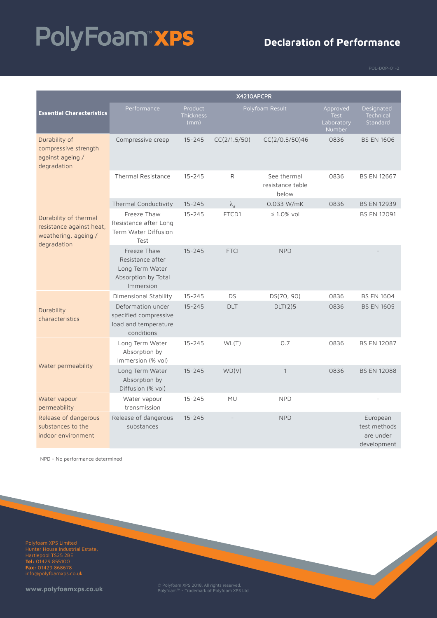# PolyFoam"xPS

### **Declaration of Performance**

| X4210APCPR                                                                               |                                                                                        |                              |                   |                                          |                                                 |                                                      |
|------------------------------------------------------------------------------------------|----------------------------------------------------------------------------------------|------------------------------|-------------------|------------------------------------------|-------------------------------------------------|------------------------------------------------------|
| <b>Essential Characteristics</b>                                                         | Performance                                                                            | Product<br>Thickness<br>(mm) |                   | Polyfoam Result                          | Approved<br><b>Test</b><br>Laboratory<br>Number | Designated<br>Technical<br>Standard                  |
| Durability of<br>compressive strength<br>against ageing /<br>degradation                 | Compressive creep                                                                      | $15 - 245$                   | CC(2/1.5/50)      | CC(2/0.5/50)46                           | 0836                                            | <b>BS EN 1606</b>                                    |
|                                                                                          | <b>Thermal Resistance</b>                                                              | $15 - 245$                   | R                 | See thermal<br>resistance table<br>below | 0836                                            | <b>BS EN 12667</b>                                   |
|                                                                                          | Thermal Conductivity                                                                   | $15 - 245$                   | $\lambda_{\rm d}$ | $0.033$ W/mK                             | 0836                                            | <b>BS EN 12939</b>                                   |
| Durability of thermal<br>resistance against heat,<br>weathering, ageing /<br>degradation | Freeze Thaw<br>Resistance after Long<br>Term Water Diffusion<br>Test                   | $15 - 245$                   | FTCD1             | $\leq 1.0\%$ vol                         |                                                 | <b>BS EN 12091</b>                                   |
|                                                                                          | Freeze Thaw<br>Resistance after<br>Long Term Water<br>Absorption by Total<br>Immersion | $15 - 245$                   | <b>FTCI</b>       | <b>NPD</b>                               |                                                 |                                                      |
|                                                                                          | Dimensional Stability                                                                  | $15 - 245$                   | <b>DS</b>         | DS(70, 90)                               | 0836                                            | <b>BS EN 1604</b>                                    |
| Durability<br>characteristics                                                            | Deformation under<br>specified compressive<br>load and temperature<br>conditions       | $15 - 245$                   | <b>DLT</b>        | DLT(2)5                                  | 0836                                            | <b>BS EN 1605</b>                                    |
|                                                                                          | Long Term Water<br>Absorption by<br>Immersion (% vol)                                  | $15 - 245$                   | WL(T)             | 0.7                                      | 0836                                            | <b>BS EN 12087</b>                                   |
| Water permeability                                                                       | Long Term Water<br>Absorption by<br>Diffusion (% vol)                                  | $15 - 245$                   | WD(V)             | $\mathbf{1}$                             | 0836                                            | <b>BS EN 12088</b>                                   |
| Water vapour<br>permeability                                                             | Water vapour<br>transmission                                                           | $15 - 245$                   | MU                | <b>NPD</b>                               |                                                 |                                                      |
| Release of dangerous<br>substances to the<br>indoor environment                          | Release of dangerous<br>substances                                                     | $15 - 245$                   |                   | <b>NPD</b>                               |                                                 | European<br>test methods<br>are under<br>development |

NPD - No performance determined

Polyfoam XPS Limited Hartlepool TS25 2BE **Tel:** 01429 855100 **Fax:** 01429 868678 info@polyfoamxps.co.uk

**www.polyfoamxps.co.uk** © Polyfoam XPS 2018. All rights reserved. PolyfoamTM - Trademark of Polyfoam XPS Ltd